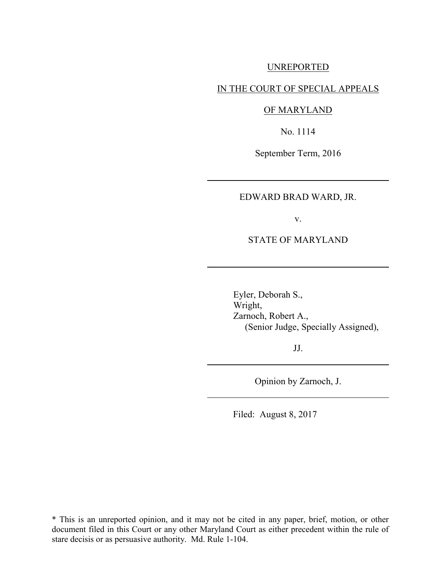#### UNREPORTED

## IN THE COURT OF SPECIAL APPEALS

#### OF MARYLAND

No. 1114

September Term, 2016

### EDWARD BRAD WARD, JR.

v.

#### STATE OF MARYLAND

Eyler, Deborah S., Wright, Zarnoch, Robert A., (Senior Judge, Specially Assigned),

JJ.

Opinion by Zarnoch, J.

Filed: August 8, 2017

\* This is an unreported opinion, and it may not be cited in any paper, brief, motion, or other document filed in this Court or any other Maryland Court as either precedent within the rule of stare decisis or as persuasive authority. Md. Rule 1-104.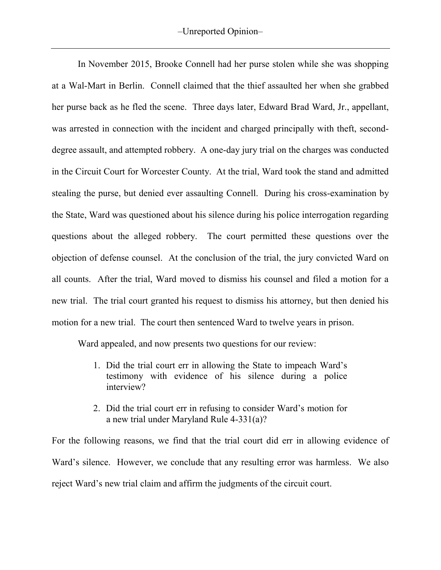In November 2015, Brooke Connell had her purse stolen while she was shopping at a Wal-Mart in Berlin. Connell claimed that the thief assaulted her when she grabbed her purse back as he fled the scene. Three days later, Edward Brad Ward, Jr., appellant, was arrested in connection with the incident and charged principally with theft, seconddegree assault, and attempted robbery. A one-day jury trial on the charges was conducted in the Circuit Court for Worcester County. At the trial, Ward took the stand and admitted stealing the purse, but denied ever assaulting Connell. During his cross-examination by the State, Ward was questioned about his silence during his police interrogation regarding questions about the alleged robbery. The court permitted these questions over the objection of defense counsel. At the conclusion of the trial, the jury convicted Ward on all counts. After the trial, Ward moved to dismiss his counsel and filed a motion for a new trial. The trial court granted his request to dismiss his attorney, but then denied his motion for a new trial. The court then sentenced Ward to twelve years in prison.

Ward appealed, and now presents two questions for our review:

- 1. Did the trial court err in allowing the State to impeach Ward's testimony with evidence of his silence during a police interview?
- 2. Did the trial court err in refusing to consider Ward's motion for a new trial under Maryland Rule 4-331(a)?

For the following reasons, we find that the trial court did err in allowing evidence of Ward's silence. However, we conclude that any resulting error was harmless. We also reject Ward's new trial claim and affirm the judgments of the circuit court.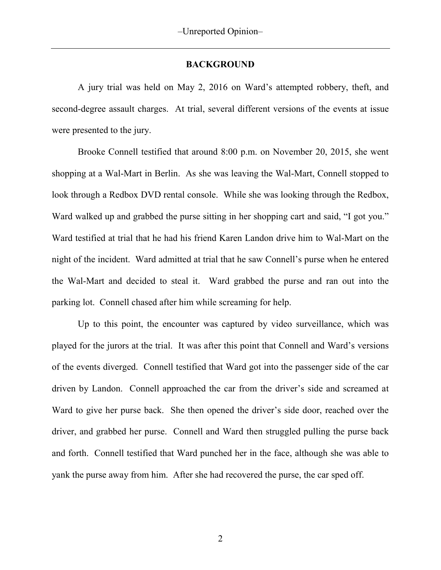### **BACKGROUND**

A jury trial was held on May 2, 2016 on Ward's attempted robbery, theft, and second-degree assault charges. At trial, several different versions of the events at issue were presented to the jury.

Brooke Connell testified that around 8:00 p.m. on November 20, 2015, she went shopping at a Wal-Mart in Berlin. As she was leaving the Wal-Mart, Connell stopped to look through a Redbox DVD rental console. While she was looking through the Redbox, Ward walked up and grabbed the purse sitting in her shopping cart and said, "I got you." Ward testified at trial that he had his friend Karen Landon drive him to Wal-Mart on the night of the incident. Ward admitted at trial that he saw Connell's purse when he entered the Wal-Mart and decided to steal it. Ward grabbed the purse and ran out into the parking lot. Connell chased after him while screaming for help.

Up to this point, the encounter was captured by video surveillance, which was played for the jurors at the trial. It was after this point that Connell and Ward's versions of the events diverged. Connell testified that Ward got into the passenger side of the car driven by Landon. Connell approached the car from the driver's side and screamed at Ward to give her purse back. She then opened the driver's side door, reached over the driver, and grabbed her purse. Connell and Ward then struggled pulling the purse back and forth. Connell testified that Ward punched her in the face, although she was able to yank the purse away from him. After she had recovered the purse, the car sped off.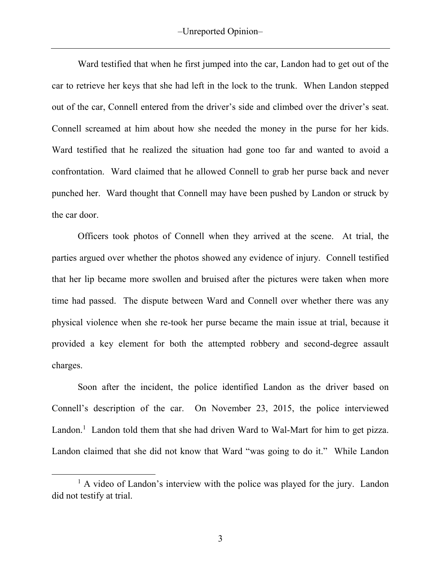Ward testified that when he first jumped into the car, Landon had to get out of the car to retrieve her keys that she had left in the lock to the trunk. When Landon stepped out of the car, Connell entered from the driver's side and climbed over the driver's seat. Connell screamed at him about how she needed the money in the purse for her kids. Ward testified that he realized the situation had gone too far and wanted to avoid a confrontation. Ward claimed that he allowed Connell to grab her purse back and never punched her. Ward thought that Connell may have been pushed by Landon or struck by the car door.

Officers took photos of Connell when they arrived at the scene. At trial, the parties argued over whether the photos showed any evidence of injury. Connell testified that her lip became more swollen and bruised after the pictures were taken when more time had passed. The dispute between Ward and Connell over whether there was any physical violence when she re-took her purse became the main issue at trial, because it provided a key element for both the attempted robbery and second-degree assault charges.

Soon after the incident, the police identified Landon as the driver based on Connell's description of the car. On November 23, 2015, the police interviewed Landon.<sup>1</sup> Landon told them that she had driven Ward to Wal-Mart for him to get pizza. Landon claimed that she did not know that Ward "was going to do it." While Landon

 $\overline{a}$ 

<sup>&</sup>lt;sup>1</sup> A video of Landon's interview with the police was played for the jury. Landon did not testify at trial.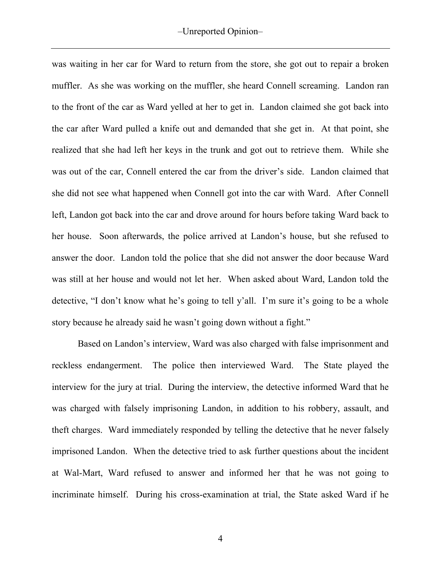was waiting in her car for Ward to return from the store, she got out to repair a broken muffler. As she was working on the muffler, she heard Connell screaming. Landon ran to the front of the car as Ward yelled at her to get in. Landon claimed she got back into the car after Ward pulled a knife out and demanded that she get in. At that point, she realized that she had left her keys in the trunk and got out to retrieve them. While she was out of the car, Connell entered the car from the driver's side. Landon claimed that she did not see what happened when Connell got into the car with Ward. After Connell left, Landon got back into the car and drove around for hours before taking Ward back to her house. Soon afterwards, the police arrived at Landon's house, but she refused to answer the door. Landon told the police that she did not answer the door because Ward was still at her house and would not let her. When asked about Ward, Landon told the detective, "I don't know what he's going to tell y'all. I'm sure it's going to be a whole story because he already said he wasn't going down without a fight."

Based on Landon's interview, Ward was also charged with false imprisonment and reckless endangerment. The police then interviewed Ward. The State played the interview for the jury at trial. During the interview, the detective informed Ward that he was charged with falsely imprisoning Landon, in addition to his robbery, assault, and theft charges. Ward immediately responded by telling the detective that he never falsely imprisoned Landon. When the detective tried to ask further questions about the incident at Wal-Mart, Ward refused to answer and informed her that he was not going to incriminate himself. During his cross-examination at trial, the State asked Ward if he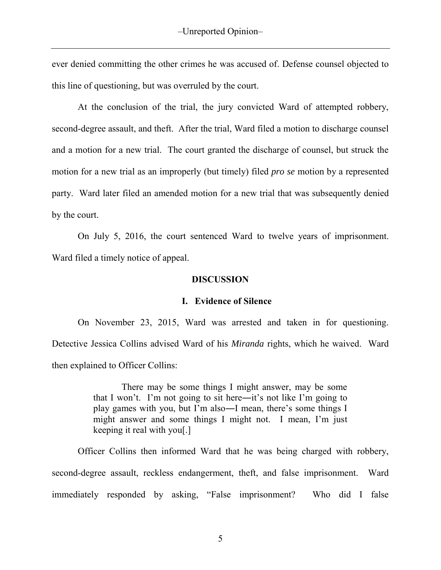ever denied committing the other crimes he was accused of. Defense counsel objected to this line of questioning, but was overruled by the court.

At the conclusion of the trial, the jury convicted Ward of attempted robbery, second-degree assault, and theft. After the trial, Ward filed a motion to discharge counsel and a motion for a new trial. The court granted the discharge of counsel, but struck the motion for a new trial as an improperly (but timely) filed *pro se* motion by a represented party. Ward later filed an amended motion for a new trial that was subsequently denied by the court.

On July 5, 2016, the court sentenced Ward to twelve years of imprisonment. Ward filed a timely notice of appeal.

### **DISCUSSION**

### **I. Evidence of Silence**

On November 23, 2015, Ward was arrested and taken in for questioning. Detective Jessica Collins advised Ward of his *Miranda* rights, which he waived. Ward then explained to Officer Collins:

> There may be some things I might answer, may be some that I won't. I'm not going to sit here―it's not like I'm going to play games with you, but I'm also―I mean, there's some things I might answer and some things I might not. I mean, I'm just keeping it real with you[.]

Officer Collins then informed Ward that he was being charged with robbery, second-degree assault, reckless endangerment, theft, and false imprisonment. Ward immediately responded by asking, "False imprisonment? Who did I false

5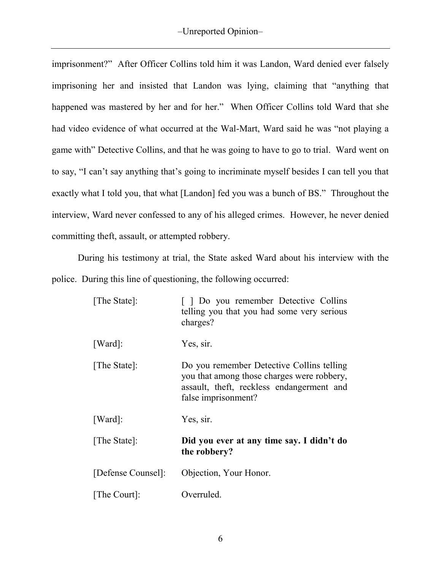imprisonment?" After Officer Collins told him it was Landon, Ward denied ever falsely imprisoning her and insisted that Landon was lying, claiming that "anything that happened was mastered by her and for her." When Officer Collins told Ward that she had video evidence of what occurred at the Wal-Mart, Ward said he was "not playing a game with" Detective Collins, and that he was going to have to go to trial. Ward went on to say, "I can't say anything that's going to incriminate myself besides I can tell you that exactly what I told you, that what [Landon] fed you was a bunch of BS." Throughout the interview, Ward never confessed to any of his alleged crimes. However, he never denied committing theft, assault, or attempted robbery.

During his testimony at trial, the State asked Ward about his interview with the police. During this line of questioning, the following occurred:

| [The State]:       | [ ] Do you remember Detective Collins<br>telling you that you had some very serious<br>charges?                                                             |
|--------------------|-------------------------------------------------------------------------------------------------------------------------------------------------------------|
| [Ward]:            | Yes, sir.                                                                                                                                                   |
| [The State]:       | Do you remember Detective Collins telling<br>you that among those charges were robbery,<br>assault, theft, reckless endangerment and<br>false imprisonment? |
| [Ward]:            | Yes, sir.                                                                                                                                                   |
| [The State]:       | Did you ever at any time say. I didn't do<br>the robbery?                                                                                                   |
| [Defense Counsel]: | Objection, Your Honor.                                                                                                                                      |
| [The Court]:       | Overruled.                                                                                                                                                  |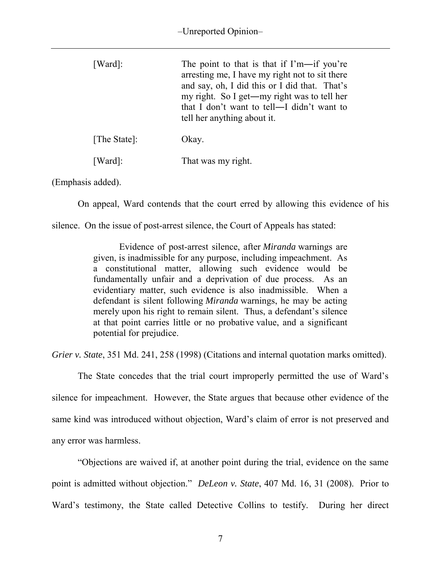| $[Ward]$ :   | The point to that is that if $\Gamma'$ m—if you're<br>arresting me, I have my right not to sit there<br>and say, oh, I did this or I did that. That's<br>my right. So I get—my right was to tell her<br>that I don't want to tell—I didn't want to<br>tell her anything about it. |
|--------------|-----------------------------------------------------------------------------------------------------------------------------------------------------------------------------------------------------------------------------------------------------------------------------------|
| [The State]: | Okay.                                                                                                                                                                                                                                                                             |
| [Ward]:      | That was my right.                                                                                                                                                                                                                                                                |

(Emphasis added).

On appeal, Ward contends that the court erred by allowing this evidence of his

silence. On the issue of post-arrest silence, the Court of Appeals has stated:

Evidence of post-arrest silence, after *Miranda* warnings are given, is inadmissible for any purpose, including impeachment. As a constitutional matter, allowing such evidence would be fundamentally unfair and a deprivation of due process. As an evidentiary matter, such evidence is also inadmissible. When a defendant is silent following *Miranda* warnings, he may be acting merely upon his right to remain silent. Thus, a defendant's silence at that point carries little or no probative value, and a significant potential for prejudice.

*Grier v. State*, 351 Md. 241, 258 (1998) (Citations and internal quotation marks omitted).

The State concedes that the trial court improperly permitted the use of Ward's silence for impeachment. However, the State argues that because other evidence of the same kind was introduced without objection, Ward's claim of error is not preserved and any error was harmless.

"Objections are waived if, at another point during the trial, evidence on the same point is admitted without objection." *DeLeon v. State*, 407 Md. 16, 31 (2008). Prior to Ward's testimony, the State called Detective Collins to testify. During her direct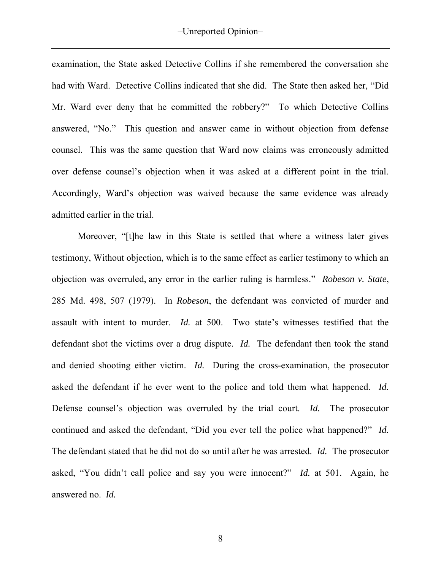examination, the State asked Detective Collins if she remembered the conversation she had with Ward. Detective Collins indicated that she did. The State then asked her, "Did Mr. Ward ever deny that he committed the robbery?" To which Detective Collins answered, "No." This question and answer came in without objection from defense counsel. This was the same question that Ward now claims was erroneously admitted over defense counsel's objection when it was asked at a different point in the trial. Accordingly, Ward's objection was waived because the same evidence was already admitted earlier in the trial.

Moreover, "[t]he law in this State is settled that where a witness later gives testimony, Without objection, which is to the same effect as earlier testimony to which an objection was overruled, any error in the earlier ruling is harmless." *Robeson v. State*, 285 Md. 498, 507 (1979). In *Robeson*, the defendant was convicted of murder and assault with intent to murder. *Id.* at 500. Two state's witnesses testified that the defendant shot the victims over a drug dispute. *Id.* The defendant then took the stand and denied shooting either victim. *Id.* During the cross-examination, the prosecutor asked the defendant if he ever went to the police and told them what happened. *Id.* Defense counsel's objection was overruled by the trial court. *Id.* The prosecutor continued and asked the defendant, "Did you ever tell the police what happened?" *Id.* The defendant stated that he did not do so until after he was arrested. *Id.* The prosecutor asked, "You didn't call police and say you were innocent?" *Id.* at 501. Again, he answered no. *Id.*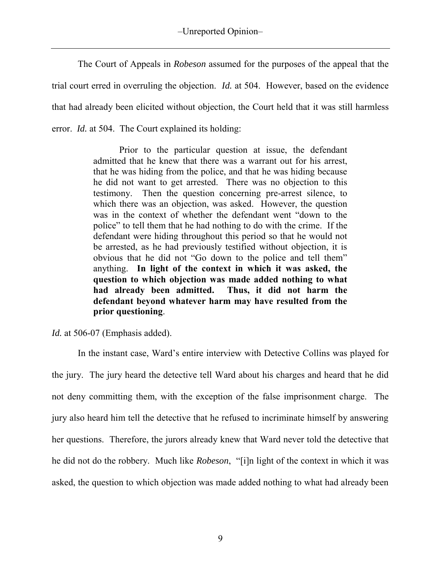The Court of Appeals in *Robeson* assumed for the purposes of the appeal that the trial court erred in overruling the objection. *Id.* at 504. However, based on the evidence that had already been elicited without objection, the Court held that it was still harmless error. *Id.* at 504. The Court explained its holding:

> Prior to the particular question at issue, the defendant admitted that he knew that there was a warrant out for his arrest, that he was hiding from the police, and that he was hiding because he did not want to get arrested. There was no objection to this testimony. Then the question concerning pre-arrest silence, to which there was an objection, was asked. However, the question was in the context of whether the defendant went "down to the police" to tell them that he had nothing to do with the crime. If the defendant were hiding throughout this period so that he would not be arrested, as he had previously testified without objection, it is obvious that he did not "Go down to the police and tell them" anything. **In light of the context in which it was asked, the question to which objection was made added nothing to what had already been admitted. Thus, it did not harm the defendant beyond whatever harm may have resulted from the prior questioning**.

*Id.* at 506-07 (Emphasis added).

 In the instant case, Ward's entire interview with Detective Collins was played for the jury. The jury heard the detective tell Ward about his charges and heard that he did not deny committing them, with the exception of the false imprisonment charge. The jury also heard him tell the detective that he refused to incriminate himself by answering her questions. Therefore, the jurors already knew that Ward never told the detective that he did not do the robbery. Much like *Robeson*, "[i]n light of the context in which it was asked, the question to which objection was made added nothing to what had already been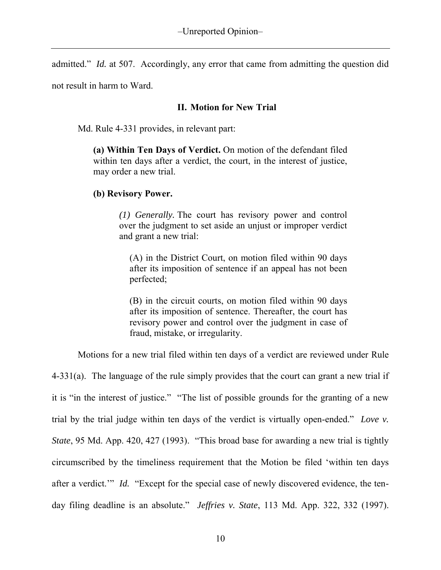admitted." *Id.* at 507. Accordingly, any error that came from admitting the question did

not result in harm to Ward.

# **II. Motion for New Trial**

Md. Rule 4-331 provides, in relevant part:

**(a) Within Ten Days of Verdict.** On motion of the defendant filed within ten days after a verdict, the court, in the interest of justice, may order a new trial.

# **(b) Revisory Power.**

*(1) Generally.* The court has revisory power and control over the judgment to set aside an unjust or improper verdict and grant a new trial:

(A) in the District Court, on motion filed within 90 days after its imposition of sentence if an appeal has not been perfected;

(B) in the circuit courts, on motion filed within 90 days after its imposition of sentence. Thereafter, the court has revisory power and control over the judgment in case of fraud, mistake, or irregularity.

Motions for a new trial filed within ten days of a verdict are reviewed under Rule

4-331(a). The language of the rule simply provides that the court can grant a new trial if it is "in the interest of justice." "The list of possible grounds for the granting of a new trial by the trial judge within ten days of the verdict is virtually open-ended." *Love v. State*, 95 Md. App. 420, 427 (1993). "This broad base for awarding a new trial is tightly circumscribed by the timeliness requirement that the Motion be filed 'within ten days after a verdict." *Id.* "Except for the special case of newly discovered evidence, the tenday filing deadline is an absolute." *Jeffries v. State*, 113 Md. App. 322, 332 (1997).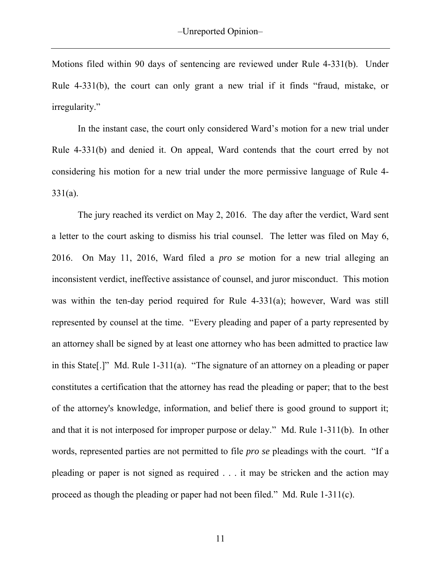Motions filed within 90 days of sentencing are reviewed under Rule 4-331(b). Under Rule 4-331(b), the court can only grant a new trial if it finds "fraud, mistake, or irregularity."

In the instant case, the court only considered Ward's motion for a new trial under Rule 4-331(b) and denied it. On appeal, Ward contends that the court erred by not considering his motion for a new trial under the more permissive language of Rule 4- 331(a).

The jury reached its verdict on May 2, 2016. The day after the verdict, Ward sent a letter to the court asking to dismiss his trial counsel. The letter was filed on May 6, 2016. On May 11, 2016, Ward filed a *pro se* motion for a new trial alleging an inconsistent verdict, ineffective assistance of counsel, and juror misconduct. This motion was within the ten-day period required for Rule 4-331(a); however, Ward was still represented by counsel at the time. "Every pleading and paper of a party represented by an attorney shall be signed by at least one attorney who has been admitted to practice law in this State[.]" Md. Rule 1-311(a). "The signature of an attorney on a pleading or paper constitutes a certification that the attorney has read the pleading or paper; that to the best of the attorney's knowledge, information, and belief there is good ground to support it; and that it is not interposed for improper purpose or delay." Md. Rule 1-311(b). In other words, represented parties are not permitted to file *pro se* pleadings with the court. "If a pleading or paper is not signed as required . . . it may be stricken and the action may proceed as though the pleading or paper had not been filed." Md. Rule 1-311(c).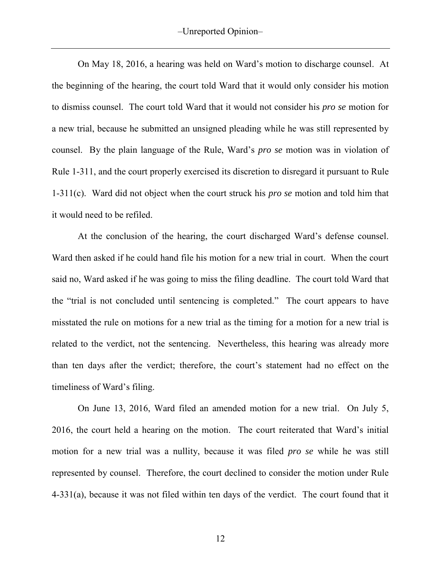On May 18, 2016, a hearing was held on Ward's motion to discharge counsel. At the beginning of the hearing, the court told Ward that it would only consider his motion to dismiss counsel. The court told Ward that it would not consider his *pro se* motion for a new trial, because he submitted an unsigned pleading while he was still represented by counsel. By the plain language of the Rule, Ward's *pro se* motion was in violation of Rule 1-311, and the court properly exercised its discretion to disregard it pursuant to Rule 1-311(c). Ward did not object when the court struck his *pro se* motion and told him that it would need to be refiled.

At the conclusion of the hearing, the court discharged Ward's defense counsel. Ward then asked if he could hand file his motion for a new trial in court. When the court said no, Ward asked if he was going to miss the filing deadline. The court told Ward that the "trial is not concluded until sentencing is completed." The court appears to have misstated the rule on motions for a new trial as the timing for a motion for a new trial is related to the verdict, not the sentencing. Nevertheless, this hearing was already more than ten days after the verdict; therefore, the court's statement had no effect on the timeliness of Ward's filing.

On June 13, 2016, Ward filed an amended motion for a new trial. On July 5, 2016, the court held a hearing on the motion. The court reiterated that Ward's initial motion for a new trial was a nullity, because it was filed *pro se* while he was still represented by counsel. Therefore, the court declined to consider the motion under Rule 4-331(a), because it was not filed within ten days of the verdict. The court found that it

12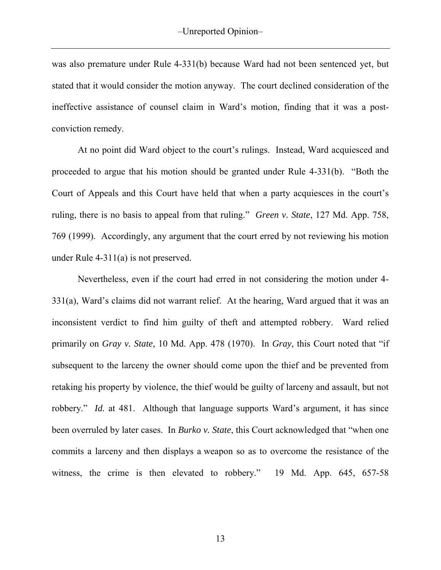was also premature under Rule 4-331(b) because Ward had not been sentenced yet, but stated that it would consider the motion anyway. The court declined consideration of the ineffective assistance of counsel claim in Ward's motion, finding that it was a postconviction remedy.

At no point did Ward object to the court's rulings. Instead, Ward acquiesced and proceeded to argue that his motion should be granted under Rule 4-331(b). "Both the Court of Appeals and this Court have held that when a party acquiesces in the court's ruling, there is no basis to appeal from that ruling." *Green v. State*, 127 Md. App. 758, 769 (1999). Accordingly, any argument that the court erred by not reviewing his motion under Rule 4-311(a) is not preserved.

Nevertheless, even if the court had erred in not considering the motion under 4- 331(a), Ward's claims did not warrant relief. At the hearing, Ward argued that it was an inconsistent verdict to find him guilty of theft and attempted robbery. Ward relied primarily on *Gray v. State*, 10 Md. App. 478 (1970). In *Gray*, this Court noted that "if subsequent to the larceny the owner should come upon the thief and be prevented from retaking his property by violence, the thief would be guilty of larceny and assault, but not robbery." *Id.* at 481. Although that language supports Ward's argument, it has since been overruled by later cases. In *Burko v. State*, this Court acknowledged that "when one commits a larceny and then displays a weapon so as to overcome the resistance of the witness, the crime is then elevated to robbery." 19 Md. App. 645, 657-58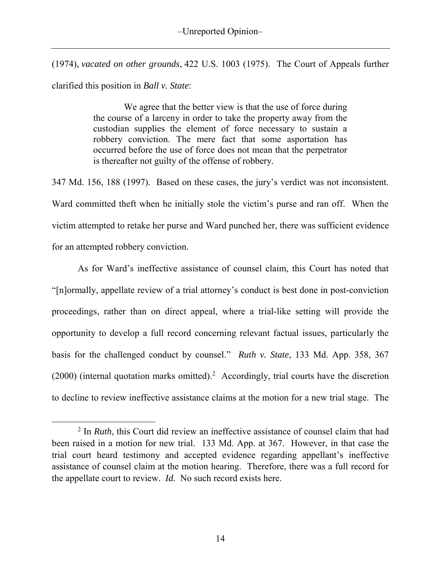(1974), *vacated on other grounds*, 422 U.S. 1003 (1975). The Court of Appeals further clarified this position in *Ball v. State*:

> We agree that the better view is that the use of force during the course of a larceny in order to take the property away from the custodian supplies the element of force necessary to sustain a robbery conviction. The mere fact that some asportation has occurred before the use of force does not mean that the perpetrator is thereafter not guilty of the offense of robbery.

347 Md. 156, 188 (1997). Based on these cases, the jury's verdict was not inconsistent. Ward committed theft when he initially stole the victim's purse and ran off. When the victim attempted to retake her purse and Ward punched her, there was sufficient evidence for an attempted robbery conviction.

 As for Ward's ineffective assistance of counsel claim, this Court has noted that "[n]ormally, appellate review of a trial attorney's conduct is best done in post-conviction proceedings, rather than on direct appeal, where a trial-like setting will provide the opportunity to develop a full record concerning relevant factual issues, particularly the basis for the challenged conduct by counsel." *Ruth v. State*, 133 Md. App. 358, 367 (2000) (internal quotation marks omitted). 2 Accordingly, trial courts have the discretion to decline to review ineffective assistance claims at the motion for a new trial stage. The

 $\overline{a}$ 

<sup>2</sup> In *Ruth*, this Court did review an ineffective assistance of counsel claim that had been raised in a motion for new trial. 133 Md. App. at 367. However, in that case the trial court heard testimony and accepted evidence regarding appellant's ineffective assistance of counsel claim at the motion hearing. Therefore, there was a full record for the appellate court to review. *Id.* No such record exists here.